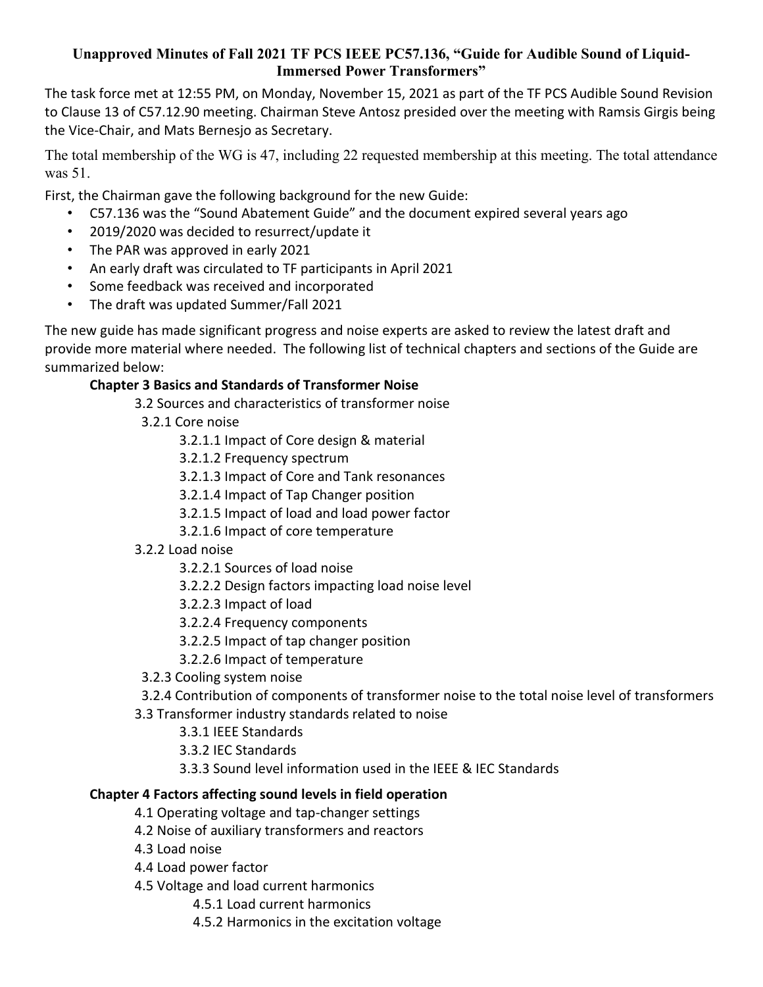### **Unapproved Minutes of Fall 2021 TF PCS IEEE PC57.136, "Guide for Audible Sound of Liquid-Immersed Power Transformers"**

The task force met at 12:55 PM, on Monday, November 15, 2021 as part of the TF PCS Audible Sound Revision to Clause 13 of C57.12.90 meeting. Chairman Steve Antosz presided over the meeting with Ramsis Girgis being the Vice-Chair, and Mats Bernesjo as Secretary.

The total membership of the WG is 47, including 22 requested membership at this meeting. The total attendance was 51.

First, the Chairman gave the following background for the new Guide:

- C57.136 was the "Sound Abatement Guide" and the document expired several years ago
- 2019/2020 was decided to resurrect/update it
- The PAR was approved in early 2021
- An early draft was circulated to TF participants in April 2021
- Some feedback was received and incorporated
- The draft was updated Summer/Fall 2021

The new guide has made significant progress and noise experts are asked to review the latest draft and provide more material where needed. The following list of technical chapters and sections of the Guide are summarized below:

# **Chapter 3 Basics and Standards of Transformer Noise**

3.2 Sources and characteristics of transformer noise

3.2.1 Core noise

3.2.1.1 Impact of Core design & material

3.2.1.2 Frequency spectrum

3.2.1.3 Impact of Core and Tank resonances

3.2.1.4 Impact of Tap Changer position

- 3.2.1.5 Impact of load and load power factor
- 3.2.1.6 Impact of core temperature
- 3.2.2 Load noise
	- 3.2.2.1 Sources of load noise
	- 3.2.2.2 Design factors impacting load noise level
	- 3.2.2.3 Impact of load
	- 3.2.2.4 Frequency components
	- 3.2.2.5 Impact of tap changer position
	- 3.2.2.6 Impact of temperature
- 3.2.3 Cooling system noise
- 3.2.4 Contribution of components of transformer noise to the total noise level of transformers
- 3.3 Transformer industry standards related to noise
	- 3.3.1 IEEE Standards
	- 3.3.2 IEC Standards
	- 3.3.3 Sound level information used in the IEEE & IEC Standards

#### **Chapter 4 Factors affecting sound levels in field operation**

- 4.1 Operating voltage and tap-changer settings
- 4.2 Noise of auxiliary transformers and reactors
- 4.3 Load noise
- 4.4 Load power factor
- 4.5 Voltage and load current harmonics
	- 4.5.1 Load current harmonics
	- 4.5.2 Harmonics in the excitation voltage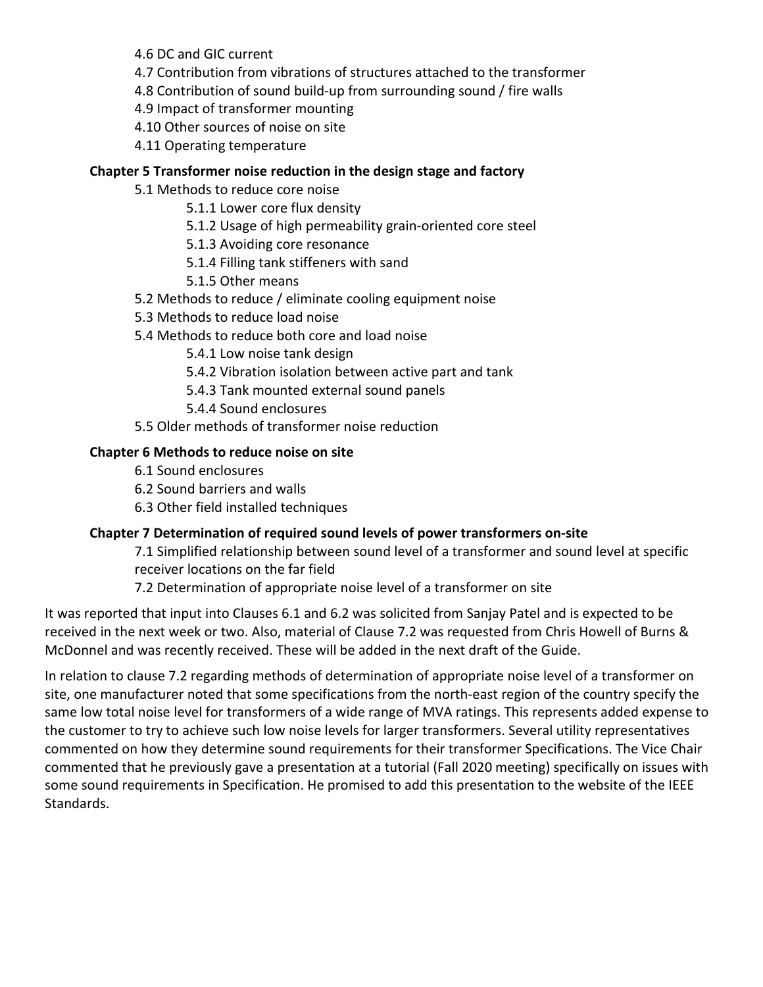4.6 DC and GIC current

- 4.7 Contribution from vibrations of structures attached to the transformer
- 4.8 Contribution of sound build-up from surrounding sound / fire walls
- 4.9 Impact of transformer mounting
- 4.10 Other sources of noise on site
- 4.11 Operating temperature

## **Chapter 5 Transformer noise reduction in the design stage and factory**

- 5.1 Methods to reduce core noise
	- 5.1.1 Lower core flux density
	- 5.1.2 Usage of high permeability grain-oriented core steel
	- 5.1.3 Avoiding core resonance
	- 5.1.4 Filling tank stiffeners with sand
	- 5.1.5 Other means
- 5.2 Methods to reduce / eliminate cooling equipment noise
- 5.3 Methods to reduce load noise
- 5.4 Methods to reduce both core and load noise
	- 5.4.1 Low noise tank design
	- 5.4.2 Vibration isolation between active part and tank
	- 5.4.3 Tank mounted external sound panels
	- 5.4.4 Sound enclosures
- 5.5 Older methods of transformer noise reduction

## **Chapter 6 Methods to reduce noise on site**

- 6.1 Sound enclosures
- 6.2 Sound barriers and walls
- 6.3 Other field installed techniques

#### **Chapter 7 Determination of required sound levels of power transformers on-site**

- 7.1 Simplified relationship between sound level of a transformer and sound level at specific receiver locations on the far field
- 7.2 Determination of appropriate noise level of a transformer on site

It was reported that input into Clauses 6.1 and 6.2 was solicited from Sanjay Patel and is expected to be received in the next week or two. Also, material of Clause 7.2 was requested from Chris Howell of Burns & McDonnel and was recently received. These will be added in the next draft of the Guide.

In relation to clause 7.2 regarding methods of determination of appropriate noise level of a transformer on site, one manufacturer noted that some specifications from the north-east region of the country specify the same low total noise level for transformers of a wide range of MVA ratings. This represents added expense to the customer to try to achieve such low noise levels for larger transformers. Several utility representatives commented on how they determine sound requirements for their transformer Specifications. The Vice Chair commented that he previously gave a presentation at a tutorial (Fall 2020 meeting) specifically on issues with some sound requirements in Specification. He promised to add this presentation to the website of the IEEE Standards.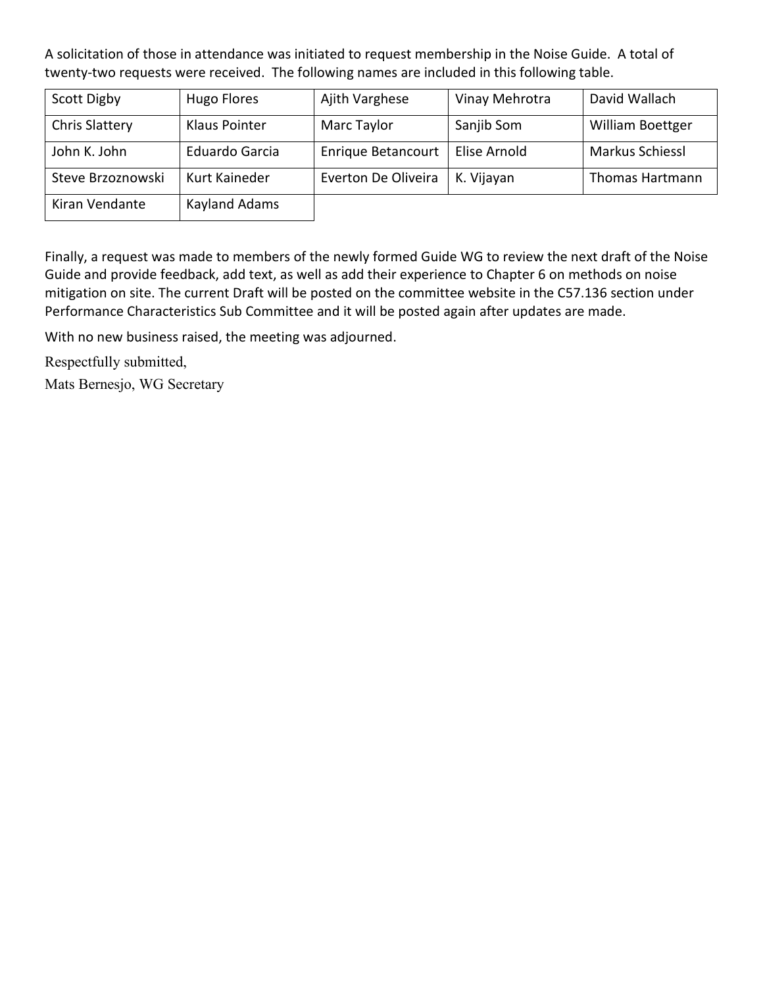A solicitation of those in attendance was initiated to request membership in the Noise Guide. A total of twenty-two requests were received. The following names are included in this following table.

| Scott Digby           | Hugo Flores           | Ajith Varghese            | Vinay Mehrotra | David Wallach          |
|-----------------------|-----------------------|---------------------------|----------------|------------------------|
| <b>Chris Slattery</b> | Klaus Pointer         | Marc Taylor               | Sanjib Som     | William Boettger       |
| John K. John          | <b>Eduardo Garcia</b> | <b>Enrique Betancourt</b> | Elise Arnold   | <b>Markus Schiessl</b> |
| Steve Brzoznowski     | Kurt Kaineder         | Everton De Oliveira       | K. Vijayan     | <b>Thomas Hartmann</b> |
| Kiran Vendante        | Kayland Adams         |                           |                |                        |

Finally, a request was made to members of the newly formed Guide WG to review the next draft of the Noise Guide and provide feedback, add text, as well as add their experience to Chapter 6 on methods on noise mitigation on site. The current Draft will be posted on the committee website in the C57.136 section under Performance Characteristics Sub Committee and it will be posted again after updates are made.

With no new business raised, the meeting was adjourned.

Respectfully submitted,

Mats Bernesjo, WG Secretary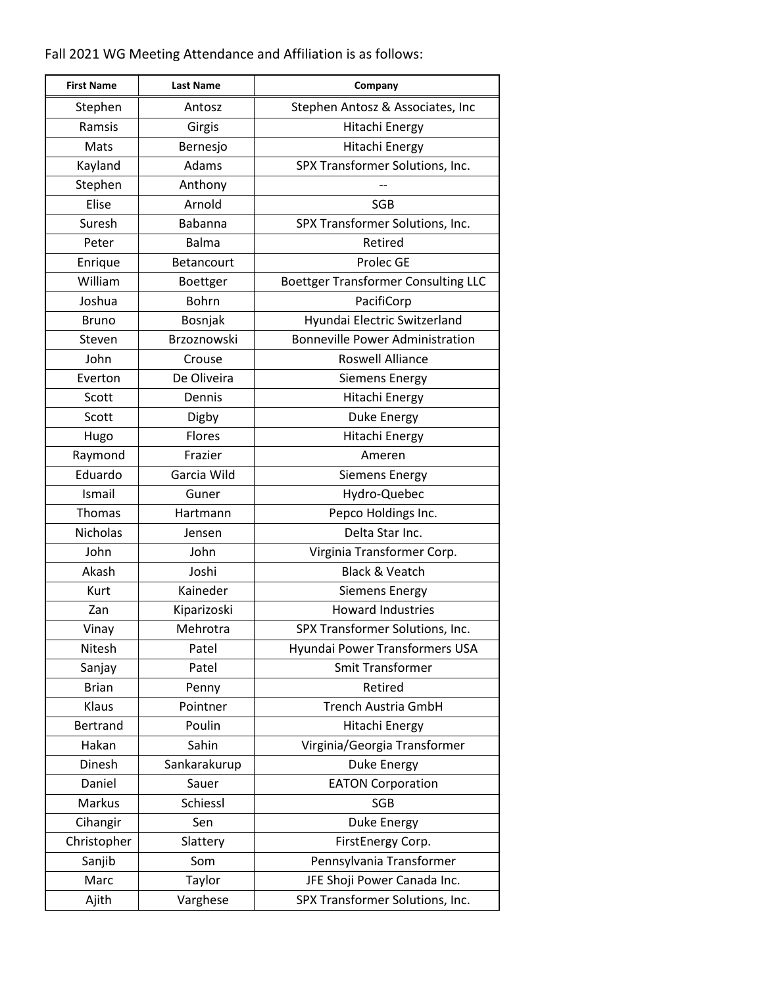Fall 2021 WG Meeting Attendance and Affiliation is as follows:

| <b>First Name</b> | <b>Last Name</b>  | Company                                    |
|-------------------|-------------------|--------------------------------------------|
| Stephen           | Antosz            | Stephen Antosz & Associates, Inc           |
| Ramsis            | Girgis            | Hitachi Energy                             |
| Mats              | Bernesjo          | Hitachi Energy                             |
| Kayland           | Adams             | SPX Transformer Solutions, Inc.            |
| Stephen           | Anthony           |                                            |
| Elise             | Arnold            | <b>SGB</b>                                 |
| Suresh            | Babanna           | SPX Transformer Solutions, Inc.            |
| Peter             | <b>Balma</b>      | Retired                                    |
| Enrique           | <b>Betancourt</b> | Prolec GE                                  |
| William           | <b>Boettger</b>   | <b>Boettger Transformer Consulting LLC</b> |
| Joshua            | <b>Bohrn</b>      | PacifiCorp                                 |
| <b>Bruno</b>      | Bosnjak           | Hyundai Electric Switzerland               |
| Steven            | Brzoznowski       | <b>Bonneville Power Administration</b>     |
| John              | Crouse            | <b>Roswell Alliance</b>                    |
| Everton           | De Oliveira       | <b>Siemens Energy</b>                      |
| Scott             | Dennis            | Hitachi Energy                             |
| Scott             | Digby             | <b>Duke Energy</b>                         |
| Hugo              | Flores            | Hitachi Energy                             |
| Raymond           | Frazier           | Ameren                                     |
| Eduardo           | Garcia Wild       | <b>Siemens Energy</b>                      |
| Ismail            | Guner             | Hydro-Quebec                               |
| Thomas            | Hartmann          | Pepco Holdings Inc.                        |
| <b>Nicholas</b>   | Jensen            | Delta Star Inc.                            |
| John              | John              | Virginia Transformer Corp.                 |
| Akash             | Joshi             | <b>Black &amp; Veatch</b>                  |
| Kurt              | Kaineder          | <b>Siemens Energy</b>                      |
| Zan               | Kiparizoski       | <b>Howard Industries</b>                   |
| Vinay             | Mehrotra          | SPX Transformer Solutions, Inc.            |
| Nitesh            | Patel             | Hyundai Power Transformers USA             |
| Sanjay            | Patel             | <b>Smit Transformer</b>                    |
| <b>Brian</b>      | Penny             | Retired                                    |
| Klaus             | Pointner          | <b>Trench Austria GmbH</b>                 |
| Bertrand          | Poulin            | Hitachi Energy                             |
| Hakan             | Sahin             | Virginia/Georgia Transformer               |
| Dinesh            | Sankarakurup      | Duke Energy                                |
| Daniel            | Sauer             | <b>EATON Corporation</b>                   |
| Markus            | Schiessl          | SGB                                        |
| Cihangir          | Sen               | Duke Energy                                |
| Christopher       | Slattery          | FirstEnergy Corp.                          |
| Sanjib            | Som               | Pennsylvania Transformer                   |
| Marc              | Taylor            | JFE Shoji Power Canada Inc.                |
| Ajith             | Varghese          | SPX Transformer Solutions, Inc.            |